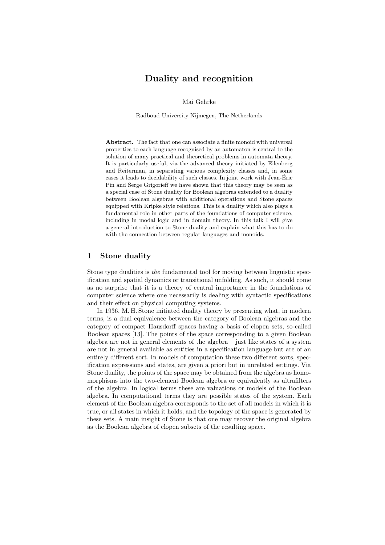# Duality and recognition

Mai Gehrke

Radboud University Nijmegen, The Netherlands

Abstract. The fact that one can associate a finite monoid with universal properties to each language recognised by an automaton is central to the solution of many practical and theoretical problems in automata theory. It is particularly useful, via the advanced theory initiated by Eilenberg and Reiterman, in separating various complexity classes and, in some cases it leads to decidability of such classes. In joint work with Jean-Eric ´ Pin and Serge Grigorieff we have shown that this theory may be seen as a special case of Stone duality for Boolean algebras extended to a duality between Boolean algebras with additional operations and Stone spaces equipped with Kripke style relations. This is a duality which also plays a fundamental role in other parts of the foundations of computer science, including in modal logic and in domain theory. In this talk I will give a general introduction to Stone duality and explain what this has to do with the connection between regular languages and monoids.

### 1 Stone duality

Stone type dualities is the fundamental tool for moving between linguistic specification and spatial dynamics or transitional unfolding. As such, it should come as no surprise that it is a theory of central importance in the foundations of computer science where one necessarily is dealing with syntactic specifications and their effect on physical computing systems.

In 1936, M. H. Stone initiated duality theory by presenting what, in modern terms, is a dual equivalence between the category of Boolean algebras and the category of compact Hausdorff spaces having a basis of clopen sets, so-called Boolean spaces [13]. The points of the space corresponding to a given Boolean algebra are not in general elements of the algebra – just like states of a system are not in general available as entities in a specification language but are of an entirely different sort. In models of computation these two different sorts, specification expressions and states, are given a priori but in unrelated settings. Via Stone duality, the points of the space may be obtained from the algebra as homomorphisms into the two-element Boolean algebra or equivalently as ultrafilters of the algebra. In logical terms these are valuations or models of the Boolean algebra. In computational terms they are possible states of the system. Each element of the Boolean algebra corresponds to the set of all models in which it is true, or all states in which it holds, and the topology of the space is generated by these sets. A main insight of Stone is that one may recover the original algebra as the Boolean algebra of clopen subsets of the resulting space.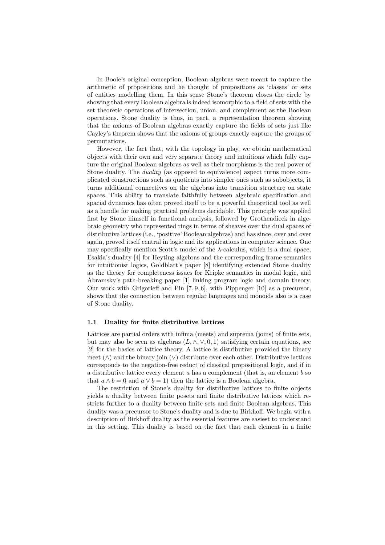In Boole's original conception, Boolean algebras were meant to capture the arithmetic of propositions and he thought of propositions as 'classes' or sets of entities modelling them. In this sense Stone's theorem closes the circle by showing that every Boolean algebra is indeed isomorphic to a field of sets with the set theoretic operations of intersection, union, and complement as the Boolean operations. Stone duality is thus, in part, a representation theorem showing that the axioms of Boolean algebras exactly capture the fields of sets just like Cayley's theorem shows that the axioms of groups exactly capture the groups of permutations.

However, the fact that, with the topology in play, we obtain mathematical objects with their own and very separate theory and intuitions which fully capture the original Boolean algebras as well as their morphisms is the real power of Stone duality. The *duality* (as opposed to equivalence) aspect turns more complicated constructions such as quotients into simpler ones such as subobjects, it turns additional connectives on the algebras into transition structure on state spaces. This ability to translate faithfully between algebraic specification and spacial dynamics has often proved itself to be a powerful theoretical tool as well as a handle for making practical problems decidable. This principle was applied first by Stone himself in functional analysis, followed by Grothendieck in algebraic geometry who represented rings in terms of sheaves over the dual spaces of distributive lattices (i.e., 'positive' Boolean algebras) and has since, over and over again, proved itself central in logic and its applications in computer science. One may specifically mention Scott's model of the  $\lambda$ -calculus, which is a dual space, Esakia's duality [4] for Heyting algebras and the corresponding frame semantics for intuitionist logics, Goldblatt's paper [8] identifying extended Stone duality as the theory for completeness issues for Kripke semantics in modal logic, and Abramsky's path-breaking paper [1] linking program logic and domain theory. Our work with Grigorieff and Pin [7, 9, 6], with Pippenger [10] as a precursor, shows that the connection between regular languages and monoids also is a case of Stone duality.

#### 1.1 Duality for finite distributive lattices

Lattices are partial orders with infima (meets) and suprema (joins) of finite sets, but may also be seen as algebras  $(L, \wedge, \vee, 0, 1)$  satisfying certain equations, see [2] for the basics of lattice theory. A lattice is distributive provided the binary meet  $(\wedge)$  and the binary join  $(\vee)$  distribute over each other. Distributive lattices corresponds to the negation-free reduct of classical propositional logic, and if in a distributive lattice every element  $a$  has a complement (that is, an element  $b$  so that  $a \wedge b = 0$  and  $a \vee b = 1$ ) then the lattice is a Boolean algebra.

The restriction of Stone's duality for distributive lattices to finite objects yields a duality between finite posets and finite distributive lattices which restricts further to a duality between finite sets and finite Boolean algebras. This duality was a precursor to Stone's duality and is due to Birkhoff. We begin with a description of Birkhoff duality as the essential features are easiest to understand in this setting. This duality is based on the fact that each element in a finite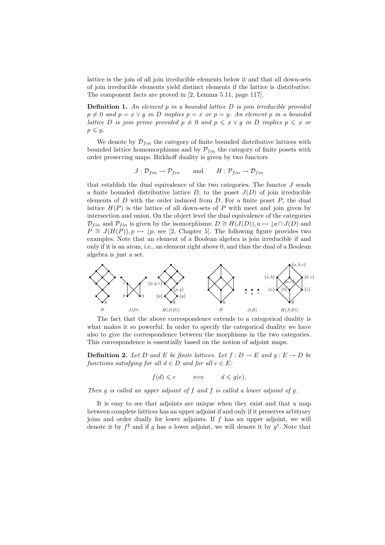lattice is the join of all join irreducible elements below it and that all down-sets of join irreducible elements yield distinct elements if the lattice is distributive. The component facts are proved in [2, Lemma 5.11, page 117].

**Definition 1.** An element  $p$  in a bounded lattice  $D$  is join irreducible provided  $p \neq 0$  and  $p = x \vee y$  in D implies  $p = x$  or  $p = y$ . An element p in a bounded lattice D is join prime provided  $p \neq 0$  and  $p \leq x \vee y$  in D implies  $p \leq x$  or  $p \leqslant y$ .

We denote by  $\mathcal{D}_{fin}$  the category of finite bounded distributive lattices with bounded lattice homomorphisms and by  $\mathcal{P}_{fin}$  the category of finite posets with order preserving maps. Birkhoff duality is given by two functors

$$
J: \mathcal{D}_{fin} \to \mathcal{P}_{fin} \qquad \text{and} \qquad H: \mathcal{P}_{fin} \to \mathcal{D}_{fin}
$$

that establish the dual equivalence of the two categories. The functor J sends a finite bounded distributive lattice D, to the poset  $J(D)$  of join irreducible elements of  $D$  with the order induced from  $D$ . For a finite poset  $P$ , the dual lattice  $H(P)$  is the lattice of all down-sets of P with meet and join given by intersection and union. On the object level the dual equivalence of the categories  $\mathcal{D}_{fin}$  and  $\mathcal{P}_{fin}$  is given by the isomorphisms:  $D \cong H(J(D)), a \mapsto \downarrow a \cap J(D)$  and  $P \cong J(H(P)), p \mapsto \downarrow p$ , see [2, Chapter 5]. The following figure provides two examples. Note that an element of a Boolean algebra is join irreducible if and only if it is an atom, i.e., an element right above 0, and thus the dual of a Boolean algebra is just a set.



The fact that the above correspondence extends to a categorical duality is what makes it so powerful. In order to specify the categorical duality we have also to give the correspondence between the morphisms in the two categories. This correspondence is essentially based on the notion of adjoint maps.

**Definition 2.** Let D and E be finite lattices. Let  $f: D \to E$  and  $g: E \to D$  be functions satisfying for all  $d \in D$  and for all  $e \in E$ :

$$
f(d) \leqslant e \qquad \iff \qquad d \leqslant g(e).
$$

Then g is called an upper adjoint of f and f is called a lower adjoint of g.

It is easy to see that adjoints are unique when they exist and that a map between complete lattices has an upper adjoint if and only if it preserves arbitrary joins and order dually for lower adjoints. If f has an upper adjoint, we will denote it by  $f^{\sharp}$  and if g has a lower adjoint, we will denote it by  $g^{\flat}$ . Note that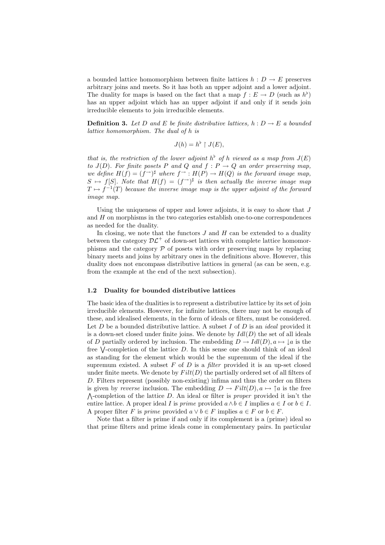a bounded lattice homomorphism between finite lattices  $h : D \to E$  preserves arbitrary joins and meets. So it has both an upper adjoint and a lower adjoint. The duality for maps is based on the fact that a map  $f: E \to D$  (such as  $h^{\flat}$ ) has an upper adjoint which has an upper adjoint if and only if it sends join irreducible elements to join irreducible elements.

**Definition 3.** Let D and E be finite distributive lattices,  $h: D \to E$  a bounded lattice homomorphism. The dual of h is

$$
J(h) = h^{\flat} \restriction J(E),
$$

that is, the restriction of the lower adjoint  $h^{\flat}$  of h viewed as a map from  $J(E)$ to  $J(D)$ . For finite posets P and Q and  $f : P \to Q$  an order preserving map, we define  $H(f) = (f^{\rightarrow})^{\sharp}$  where  $f^{\rightarrow} : H(P) \rightarrow H(Q)$  is the forward image map,  $S \mapsto f[S]$ . Note that  $H(f) = (f \rightarrow)^{\sharp}$  is then actually the inverse image map  $T \mapsto f^{-1}(T)$  because the inverse image map is the upper adjoint of the forward image map.

Using the uniqueness of upper and lower adjoints, it is easy to show that  $J$ and  $H$  on morphisms in the two categories establish one-to-one correspondences as needed for the duality.

In closing, we note that the functors  $J$  and  $H$  can be extended to a duality between the category  $\mathcal{DL}^+$  of down-set lattices with complete lattice homomorphisms and the category  $P$  of posets with order preserving maps by replacing binary meets and joins by arbitrary ones in the definitions above. However, this duality does not encompass distributive lattices in general (as can be seen, e.g. from the example at the end of the next subsection).

#### 1.2 Duality for bounded distributive lattices

The basic idea of the dualities is to represent a distributive lattice by its set of join irreducible elements. However, for infinite lattices, there may not be enough of these, and idealised elements, in the form of ideals or filters, must be considered. Let  $D$  be a bounded distributive lattice. A subset  $I$  of  $D$  is an *ideal* provided it is a down-set closed under finite joins. We denote by  $Idl(D)$  the set of all ideals of D partially ordered by inclusion. The embedding  $D \to Id(D)$ ,  $a \mapsto \downarrow a$  is the free  $\bigvee$ -completion of the lattice D. In this sense one should think of an ideal as standing for the element which would be the supremum of the ideal if the supremum existed. A subset  $F$  of  $D$  is a *filter* provided it is an up-set closed under finite meets. We denote by  $Filt(D)$  the partially ordered set of all filters of D. Filters represent (possibly non-existing) infima and thus the order on filters is given by reverse inclusion. The embedding  $D \to Filt(D), a \mapsto \uparrow a$  is the free  $\Lambda$ -completion of the lattice D. An ideal or filter is *proper* provided it isn't the entire lattice. A proper ideal I is *prime* provided  $a \wedge b \in I$  implies  $a \in I$  or  $b \in I$ . A proper filter F is prime provided  $a \vee b \in F$  implies  $a \in F$  or  $b \in F$ .

Note that a filter is prime if and only if its complement is a (prime) ideal so that prime filters and prime ideals come in complementary pairs. In particular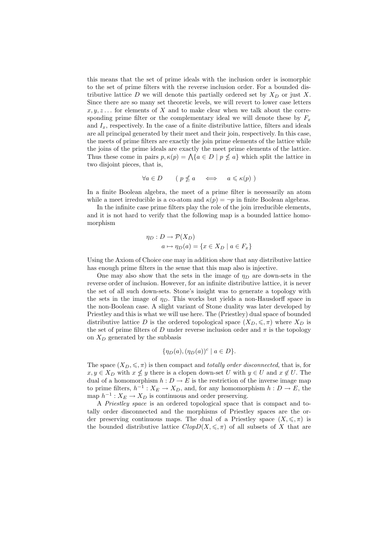this means that the set of prime ideals with the inclusion order is isomorphic to the set of prime filters with the reverse inclusion order. For a bounded distributive lattice  $D$  we will denote this partially ordered set by  $X_D$  or just X. Since there are so many set theoretic levels, we will revert to lower case letters  $x, y, z...$  for elements of X and to make clear when we talk about the corresponding prime filter or the complementary ideal we will denote these by  $F_x$ and  $I_x$ , respectively. In the case of a finite distributive lattice, filters and ideals are all principal generated by their meet and their join, respectively. In this case, the meets of prime filters are exactly the join prime elements of the lattice while the joins of the prime ideals are exactly the meet prime elements of the lattice. Thus these come in pairs  $p, \kappa(p) = \bigwedge \{a \in D \mid p \nleq a\}$  which split the lattice in two disjoint pieces, that is,

$$
\forall a \in D \qquad (p \nleq a \iff a \leq \kappa(p))
$$

In a finite Boolean algebra, the meet of a prime filter is necessarily an atom while a meet irreducible is a co-atom and  $\kappa(p) = \neg p$  in finite Boolean algebras.

In the infinite case prime filters play the role of the join irreducible elements, and it is not hard to verify that the following map is a bounded lattice homomorphism

$$
\eta_D: D \to \mathcal{P}(X_D)
$$

$$
a \mapsto \eta_D(a) = \{x \in X_D \mid a \in F_x\}
$$

Using the Axiom of Choice one may in addition show that any distributive lattice has enough prime filters in the sense that this map also is injective.

One may also show that the sets in the image of  $\eta_D$  are down-sets in the reverse order of inclusion. However, for an infinite distributive lattice, it is never the set of all such down-sets. Stone's insight was to generate a topology with the sets in the image of  $\eta_D$ . This works but yields a non-Hausdorff space in the non-Boolean case. A slight variant of Stone duality was later developed by Priestley and this is what we will use here. The (Priestley) dual space of bounded distributive lattice D is the ordered topological space  $(X_D, \leq, \pi)$  where  $X_D$  is the set of prime filters of D under reverse inclusion order and  $\pi$  is the topology on  $X_D$  generated by the subbasis

$$
\{\eta_D(a), (\eta_D(a))^c \mid a \in D\}.
$$

The space  $(X_D, \leq, \pi)$  is then compact and *totally order disconnected*, that is, for  $x, y \in X_D$  with  $x \nleq y$  there is a clopen down-set U with  $y \in U$  and  $x \notin U$ . The dual of a homomorphism  $h: D \to E$  is the restriction of the inverse image map to prime filters,  $h^{-1}: X_E \to X_D$ , and, for any homomorphism  $h: D \to E$ , the map  $h^{-1}: X_E \to X_D$  is continuous and order preserving.

A Priestley space is an ordered topological space that is compact and totally order disconnected and the morphisms of Priestley spaces are the order preserving continuous maps. The dual of a Priestley space  $(X, \leq \pi)$  is the bounded distributive lattice  $ClopD(X, \leq, \pi)$  of all subsets of X that are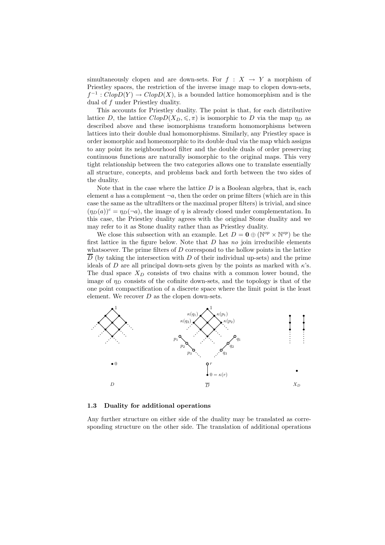simultaneously clopen and are down-sets. For  $f : X \rightarrow Y$  a morphism of Priestley spaces, the restriction of the inverse image map to clopen down-sets,  $f^{-1}: ClopD(Y) \to ClopD(X)$ , is a bounded lattice homomorphism and is the dual of  $f$  under Priestley duality.

This accounts for Priestley duality. The point is that, for each distributive lattice D, the lattice  $ClopD(X_D, \leq, \pi)$  is isomorphic to D via the map  $\eta_D$  as described above and these isomorphisms transform homomorphisms between lattices into their double dual homomorphisms. Similarly, any Priestley space is order isomorphic and homeomorphic to its double dual via the map which assigns to any point its neighbourhood filter and the double duals of order preserving continuous functions are naturally isomorphic to the original maps. This very tight relationship between the two categories allows one to translate essentially all structure, concepts, and problems back and forth between the two sides of the duality.

Note that in the case where the lattice  $D$  is a Boolean algebra, that is, each element a has a complement  $\neg a$ , then the order on prime filters (which are in this case the same as the ultrafilters or the maximal proper filters) is trivial, and since  $(\eta_D(a))^c = \eta_D(\neg a)$ , the image of  $\eta$  is already closed under complementation. In this case, the Priestley duality agrees with the original Stone duality and we may refer to it as Stone duality rather than as Priestley duality.

We close this subsection with an example. Let  $D = \mathbf{0} \oplus (\mathbb{N}^{op} \times \mathbb{N}^{op})$  be the first lattice in the figure below. Note that  $D$  has no join irreducible elements whatsoever. The prime filters of  $D$  correspond to the hollow points in the lattice  $\overline{D}$  (by taking the intersection with D of their individual up-sets) and the prime ideals of D are all principal down-sets given by the points as marked with  $\kappa$ 's. The dual space  $X_D$  consists of two chains with a common lower bound, the image of  $\eta_D$  consists of the cofinite down-sets, and the topology is that of the one point compactification of a discrete space where the limit point is the least element. We recover  $D$  as the clopen down-sets.



#### 1.3 Duality for additional operations

Any further structure on either side of the duality may be translated as corresponding structure on the other side. The translation of additional operations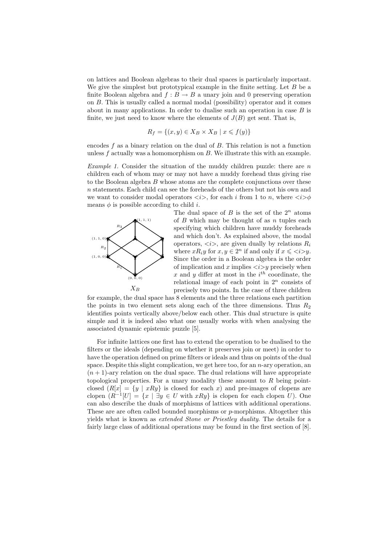on lattices and Boolean algebras to their dual spaces is particularly important. We give the simplest but prototypical example in the finite setting. Let  $B$  be a finite Boolean algebra and  $f : B \to B$  a unary join and 0 preserving operation on B. This is usually called a normal modal (possibility) operator and it comes about in many applications. In order to dualise such an operation in case  $B$  is finite, we just need to know where the elements of  $J(B)$  get sent. That is,

$$
R_f = \{(x, y) \in X_B \times X_B \mid x \leqslant f(y)\}
$$

encodes  $f$  as a binary relation on the dual of  $B$ . This relation is not a function unless  $f$  actually was a homomorphism on  $B$ . We illustrate this with an example.

*Example 1.* Consider the situation of the muddy children puzzle: there are n children each of whom may or may not have a muddy forehead thus giving rise to the Boolean algebra  $B$  whose atoms are the complete conjunctions over these n statements. Each child can see the foreheads of the others but not his own and we want to consider modal operators  $\langle i \rangle$ , for each i from 1 to n, where  $\langle i \rangle \phi$ means  $\phi$  is possible according to child *i*.



The dual space of  $B$  is the set of the  $2^n$  atoms of  $B$  which may be thought of as  $n$  tuples each specifying which children have muddy foreheads and which don't. As explained above, the modal operators,  $\langle i \rangle$ , are given dually by relations  $R_i$ where  $xR_iy$  for  $x, y \in 2^n$  if and only if  $x \leq \langle i \rangle y$ . Since the order in a Boolean algebra is the order of implication and x implies  $\langle i \rangle y$  precisely when x and y differ at most in the  $i^{th}$  coordinate, the relational image of each point in  $2^n$  consists of precisely two points. In the case of three children

for example, the dual space has 8 elements and the three relations each partition the points in two element sets along each of the three dimensions. Thus  $R_2$ identifies points vertically above/below each other. This dual structure is quite simple and it is indeed also what one usually works with when analysing the associated dynamic epistemic puzzle [5].

For infinite lattices one first has to extend the operation to be dualised to the filters or the ideals (depending on whether it preserves join or meet) in order to have the operation defined on prime filters or ideals and thus on points of the dual space. Despite this slight complication, we get here too, for an  $n$ -ary operation, an  $(n + 1)$ -ary relation on the dual space. The dual relations will have appropriate topological properties. For a unary modality these amount to  $R$  being pointclosed  $(R[x] = \{y \mid xRy\}$  is closed for each x) and pre-images of clopens are clopen  $(R^{-1}[U] = \{x \mid \exists y \in U \text{ with } xRy\}$  is clopen for each clopen U). One can also describe the duals of morphisms of lattices with additional operations. These are are often called bounded morphisms or p-morphisms. Altogether this yields what is known as extended Stone or Priestley duality. The details for a fairly large class of additional operations may be found in the first section of [8].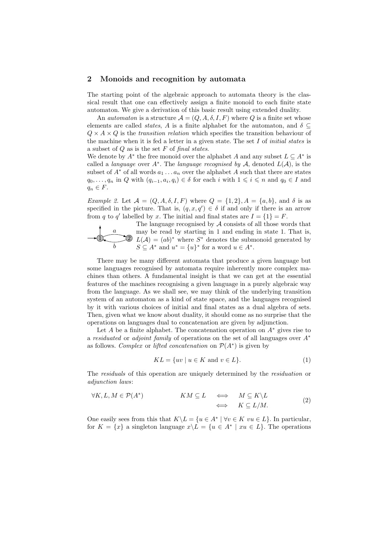#### 2 Monoids and recognition by automata

The starting point of the algebraic approach to automata theory is the classical result that one can effectively assign a finite monoid to each finite state automaton. We give a derivation of this basic result using extended duality.

An *automaton* is a structure  $A = (O, A, \delta, I, F)$  where O is a finite set whose elements are called *states*, A is a finite alphabet for the automaton, and  $\delta \subseteq$  $Q \times A \times Q$  is the transition relation which specifies the transition behaviour of the machine when it is fed a letter in a given state. The set  $I$  of *initial states* is a subset of  $Q$  as is the set  $F$  of final states.

We denote by  $A^*$  the free monoid over the alphabet A and any subset  $L \subseteq A^*$  is called a language over  $A^*$ . The language recognised by A, denoted  $L(A)$ , is the subset of  $A^*$  of all words  $a_1 \ldots a_n$  over the alphabet A such that there are states  $q_0, \ldots, q_n$  in Q with  $(q_{i-1}, a_i, q_i) \in \delta$  for each i with  $1 \leq i \leq n$  and  $q_0 \in I$  and  $q_n \in F$ .

Example 2. Let  $\mathcal{A} = (Q, A, \delta, I, F)$  where  $Q = \{1, 2\}, A = \{a, b\}$ , and  $\delta$  is as specified in the picture. That is,  $(q, x, q') \in \delta$  if and only if there is an arrow from q to q' labelled by x. The initial and final states are  $I = \{1\} = F$ .

The language recognised by 
$$
A
$$
 consists of all those words that  
may be read by starting in 1 and ending in state 1. That is,  
 $L(A) = (ab)^*$  where  $S^*$  denotes the submonoid generated by  
 $S \subseteq A^*$  and  $u^* = \{u\}^*$  for a word  $u \in A^*$ .

There may be many different automata that produce a given language but some languages recognised by automata require inherently more complex machines than others. A fundamental insight is that we can get at the essential features of the machines recognising a given language in a purely algebraic way from the language. As we shall see, we may think of the underlying transition system of an automaton as a kind of state space, and the languages recognised by it with various choices of initial and final states as a dual algebra of sets. Then, given what we know about duality, it should come as no surprise that the operations on languages dual to concatenation are given by adjunction.

Let A be a finite alphabet. The concatenation operation on  $A^*$  gives rise to a residuated or adjoint family of operations on the set of all languages over  $A^*$ as follows. Complex or lifted concatenation on  $\mathcal{P}(A^*)$  is given by

$$
KL = \{ uv \mid u \in K \text{ and } v \in L \}. \tag{1}
$$

The residuals of this operation are uniquely determined by the residuation or adjunction laws:

$$
\forall K, L, M \in \mathcal{P}(A^*) \qquad KM \subseteq L \iff M \subseteq K \setminus L
$$
\n
$$
\iff K \subseteq L/M. \tag{2}
$$

One easily sees from this that  $K\backslash L = \{u \in A^* \mid \forall v \in K \ vu \in L\}$ . In particular, for  $K = \{x\}$  a singleton language  $x \backslash L = \{u \in A^* \mid xu \in L\}$ . The operations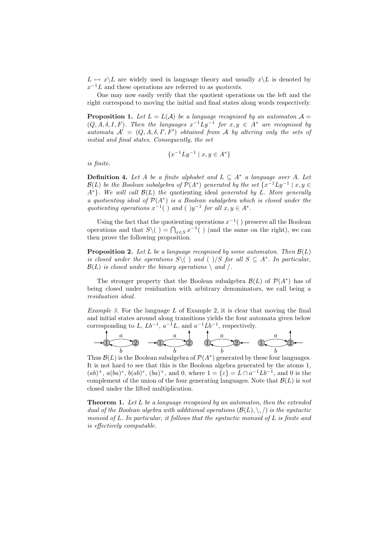$L \mapsto x\backslash L$  are widely used in language theory and usually  $x\backslash L$  is denoted by  $x^{-1}L$  and these operations are referred to as *quotients*.

One may now easily verify that the quotient operations on the left and the right correspond to moving the initial and final states along words respectively.

**Proposition 1.** Let  $L = L(A)$  be a language recognised by an automaton  $A =$  $(Q, A, \delta, I, F)$ . Then the languages  $x^{-1}Ly^{-1}$  for  $x, y \in A^*$  are recognised by automata  $\mathcal{A}' = (Q, A, \delta, I', F')$  obtained from A by altering only the sets of initial and final states. Consequently, the set

$$
\{x^{-1}Ly^{-1} \mid x, y \in A^*\}
$$

is finite.

**Definition 4.** Let A be a finite alphabet and  $L \subseteq A^*$  a language over A. Let  $\mathcal{B}(L)$  be the Boolean subalgebra of  $\mathcal{P}(A^*)$  generated by the set  $\{x^{-1}Ly^{-1}\,|\, x,y\in L\}$  $A^*$ . We will call  $\mathcal{B}(L)$  the quotienting ideal generated by L. More generally a quotienting ideal of  $\mathcal{P}(A^*)$  is a Boolean subalgebra which is closed under the quotienting operations  $x^{-1}$ ( ) and ( )y<sup>-1</sup> for all  $x, y \in A^*$ .

Using the fact that the quotienting operations  $x^{-1}$  () preserve all the Boolean operations and that  $S \setminus (x) = \bigcap_{x \in S} x^{-1}$  ( ) (and the same on the right), we can then prove the following proposition.

**Proposition 2.** Let L be a language recognised by some automaton. Then  $\mathcal{B}(L)$ is closed under the operations  $S \setminus ( \ )$  and  $( \ )/S$  for all  $S \subseteq A^*$ . In particular,  $\mathcal{B}(L)$  is closed under the binary operations  $\setminus$  and  $\setminus$ .

The stronger property that the Boolean subalgebra  $\mathcal{B}(L)$  of  $\mathcal{P}(A^*)$  has of being closed under residuation with arbitrary denominators, we call being a residuation ideal.

Example 3. For the language  $L$  of Example 2, it is clear that moving the final and initial states around along transitions yields the four automata given below corresponding to L,  $Lb^{-1}$ ,  $a^{-1}L$ , and  $a^{-1}Lb^{-1}$ , respectively.



Thus  $\mathcal{B}(L)$  is the Boolean subalgebra of  $\mathcal{P}(A^*)$  generated by these four languages. It is not hard to see that this is the Boolean algebra generated by the atoms 1,  $(ab)^+, a(ba)^*, b(ab)^+, (ba)^+, \text{ and } 0, \text{ where } 1 = \{\varepsilon\} = L \cap a^{-1}Lb^{-1}, \text{ and } 0 \text{ is the }$ complement of the union of the four generating languages. Note that  $\mathcal{B}(L)$  is not closed under the lifted multiplication.

**Theorem 1.** Let L be a language recognised by an automaton, then the extended dual of the Boolean algebra with additional operations  $(\mathcal{B}(L), \setminus, \setminus)$  is the syntactic monoid of  $L$ . In particular, it follows that the syntactic monoid of  $L$  is finite and is effectively computable.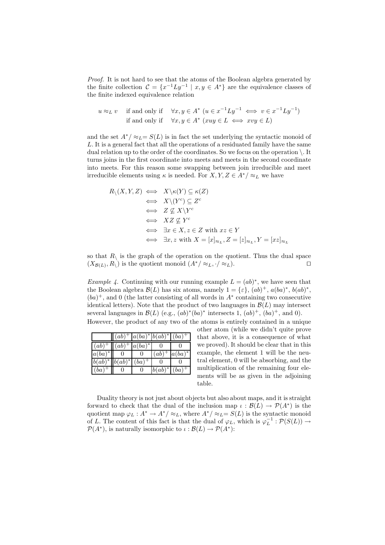Proof. It is not hard to see that the atoms of the Boolean algebra generated by the finite collection  $C = \{x^{-1}Ly^{-1} | x, y \in A^*\}$  are the equivalence classes of the finite indexed equivalence relation

$$
u \approx_L v
$$
 if and only if  $\forall x, y \in A^* \ (u \in x^{-1}Ly^{-1} \iff v \in x^{-1}Ly^{-1})$   
if and only if  $\forall x, y \in A^* \ (xuy \in L \iff xvy \in L)$ 

and the set  $A^*/ \approx_L = S(L)$  is in fact the set underlying the syntactic monoid of L. It is a general fact that all the operations of a residuated family have the same dual relation up to the order of the coordinates. So we focus on the operation \. It turns joins in the first coordinate into meets and meets in the second coordinate into meets. For this reason some swapping between join irreducible and meet irreducible elements using  $\kappa$  is needed. For  $X, Y, Z \in A^*/\approx_L$  we have

$$
R_{\setminus}(X, Y, Z) \iff X \setminus \kappa(Y) \subseteq \kappa(Z)
$$
  
\n
$$
\iff X \setminus (Y^c) \subseteq Z^c
$$
  
\n
$$
\iff Z \nsubseteq X \setminus Y^c
$$
  
\n
$$
\iff XZ \nsubseteq Y^c
$$
  
\n
$$
\iff \exists x \in X, z \in Z \text{ with } xz \in Y
$$
  
\n
$$
\iff \exists x, z \text{ with } X = [x]_{\approx_L}, Z = [z]_{\approx_L}, Y = [xz]_{\approx_L}
$$

so that  $R_{\setminus}$  is the graph of the operation on the quotient. Thus the dual space  $(X_{\mathcal{B}(L)}, R)$  is the quotient monoid  $(A^*/ \approx_L, \cdot/\approx_L)$ . □

*Example 4.* Continuing with our running example  $L = (ab)^*$ , we have seen that the Boolean algebra  $\mathcal{B}(L)$  has six atoms, namely  $1 = {\varepsilon}, (ab)^+, a(ba)^*, b(ab)^*,$  $(ba)^+$ , and 0 (the latter consisting of all words in  $A^*$  containing two consecutive identical letters). Note that the product of two languages in  $\mathcal{B}(L)$  may intersect several languages in  $\mathcal{B}(L)$  (e.g.,  $(ab)^*(ba)^*$  intersects 1,  $(ab)^+$ ,  $(ba)^+$ , and 0). However, the product of any two of the atoms is entirely contained in a unique

|       |                      | $(ab)^+  a(ba)^* \overline{b(ab)^*   (ba)^+}$ |           |                    |
|-------|----------------------|-----------------------------------------------|-----------|--------------------|
| (ab)  | $(a(b))^+  a(ba)^* $ |                                               |           |                    |
| a(ba) |                      |                                               |           | $(ab)^+  a(ba)^* $ |
| b(ab) | $ b(ab)^* $          | ba)                                           |           |                    |
| 'ba   |                      |                                               | $b(ab)^*$ | (ba)               |

other atom (while we didn't quite prove that above, it is a consequence of what we proved). It should be clear that in this example, the element 1 will be the neutral element, 0 will be absorbing, and the multiplication of the remaining four elements will be as given in the adjoining table.

Duality theory is not just about objects but also about maps, and it is straight forward to check that the dual of the inclusion map  $\iota : \mathcal{B}(L) \to \mathcal{P}(A^*)$  is the quotient map  $\varphi_L : A^* \to A^*/ \approx_L$ , where  $A^*/ \approx_L = S(L)$  is the syntactic monoid of L. The content of this fact is that the dual of  $\varphi_L$ , which is  $\varphi_L^{-1} : \mathcal{P}(S(L)) \to$  $\mathcal{P}(A^*)$ , is naturally isomorphic to  $\iota : \mathcal{B}(L) \to \mathcal{P}(A^*)$ :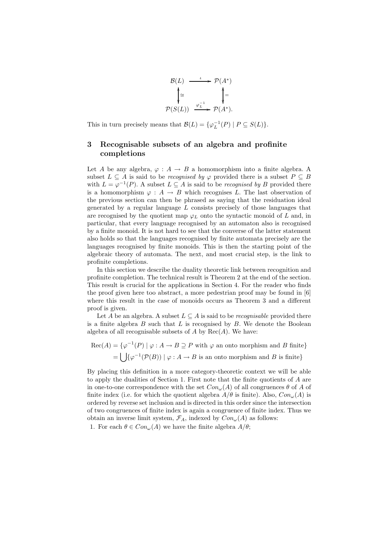$$
\mathcal{B}(L) \xrightarrow{\iota} \mathcal{P}(A^*)
$$

$$
\downarrow \cong \qquad \qquad \downarrow =
$$

$$
\mathcal{P}(S(L)) \xrightarrow{\varphi_L^{-1}} \mathcal{P}(A^*).
$$

This in turn precisely means that  $\mathcal{B}(L) = {\varphi_L^{-1}(P) | P \subseteq S(L)}$ .

## 3 Recognisable subsets of an algebra and profinite completions

Let A be any algebra,  $\varphi : A \to B$  a homomorphism into a finite algebra. A subset  $L \subseteq A$  is said to be *recognised by*  $\varphi$  provided there is a subset  $P \subseteq B$ with  $L = \varphi^{-1}(P)$ . A subset  $L \subseteq A$  is said to be *recognised by B* provided there is a homomorphism  $\varphi : A \to B$  which recognises L. The last observation of the previous section can then be phrased as saying that the residuation ideal generated by a regular language  $L$  consists precisely of those languages that are recognised by the quotient map  $\varphi_L$  onto the syntactic monoid of L and, in particular, that every language recognised by an automaton also is recognised by a finite monoid. It is not hard to see that the converse of the latter statement also holds so that the languages recognised by finite automata precisely are the languages recognised by finite monoids. This is then the starting point of the algebraic theory of automata. The next, and most crucial step, is the link to profinite completions.

In this section we describe the duality theoretic link between recognition and profinite completion. The technical result is Theorem 2 at the end of the section. This result is crucial for the applications in Section 4. For the reader who finds the proof given here too abstract, a more pedestrian proof may be found in [6] where this result in the case of monoids occurs as Theorem 3 and a different proof is given.

Let A be an algebra. A subset  $L \subseteq A$  is said to be *recognisable* provided there is a finite algebra  $B$  such that  $L$  is recognised by  $B$ . We denote the Boolean algebra of all recognisable subsets of  $A$  by  $Rec(A)$ . We have:

$$
Rec(A) = \{ \varphi^{-1}(P) \mid \varphi : A \to B \supseteq P \text{ with } \varphi \text{ an onto morphism and } B \text{ finite} \}
$$

$$
= \bigcup \{ \varphi^{-1}(\mathcal{P}(B)) \mid \varphi : A \to B \text{ is an onto morphism and } B \text{ is finite} \}
$$

By placing this definition in a more category-theoretic context we will be able to apply the dualities of Section 1. First note that the finite quotients of A are in one-to-one correspondence with the set  $Con_{\omega}(A)$  of all congruences  $\theta$  of A of finite index (i.e. for which the quotient algebra  $A/\theta$  is finite). Also,  $Con_{\omega}(A)$  is ordered by reverse set inclusion and is directed in this order since the intersection of two congruences of finite index is again a congruence of finite index. Thus we obtain an inverse limit system,  $\mathcal{F}_A$ , indexed by  $Con_{\omega}(A)$  as follows:

1. For each  $\theta \in Con_{\omega}(A)$  we have the finite algebra  $A/\theta$ ;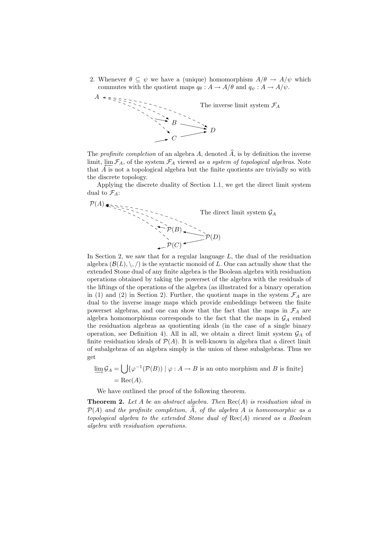2. Whenever  $\theta \subseteq \psi$  we have a (unique) homomorphism  $A/\theta \to A/\psi$  which commutes with the quotient maps  $q_{\theta}: A \to A/\theta$  and  $q_{\psi}: A \to A/\psi$ .



The profinite completion of an algebra A, denoted  $\widehat{A}$ , is by definition the inverse limit,  $\lim_{\Delta t \to 0}$   $\mathcal{F}_A$ , of the system  $\mathcal{F}_A$  viewed as a system of topological algebras. Note that  $\vec{A}$  is not a topological algebra but the finite quotients are trivially so with the discrete topology.

Applying the discrete duality of Section 1.1, we get the direct limit system dual to  $\mathcal{F}_A$ :



In Section 2, we saw that for a regular language  $L$ , the dual of the residuation algebra  $(\mathcal{B}(L), \setminus, /)$  is the syntactic monoid of L. One can actually show that the extended Stone dual of any finite algebra is the Boolean algebra with residuation operations obtained by taking the powerset of the algebra with the residuals of the liftings of the operations of the algebra (as illustrated for a binary operation in (1) and (2) in Section 2). Further, the quotient maps in the system  $\mathcal{F}_A$  are dual to the inverse image maps which provide embeddings between the finite powerset algebras, and one can show that the fact that the maps in  $\mathcal{F}_A$  are algebra homomorphisms corresponds to the fact that the maps in  $\mathcal{G}_A$  embed the residuation algebras as quotienting ideals (in the case of a single binary operation, see Definition 4). All in all, we obtain a direct limit system  $\mathcal{G}_A$  of finite residuation ideals of  $\mathcal{P}(A)$ . It is well-known in algebra that a direct limit of subalgebras of an algebra simply is the union of these subalgebras. Thus we get

$$
\lim_{\longrightarrow} \mathcal{G}_A = \bigcup \{ \varphi^{-1}(\mathcal{P}(B)) \mid \varphi : A \to B \text{ is an onto morphism and } B \text{ is finite} \}
$$
  
= Rec(A).

We have outlined the proof of the following theorem.

**Theorem 2.** Let A be an abstract algebra. Then  $Rec(A)$  is residuation ideal in  $\mathcal{P}(A)$  and the profinite completion,  $\widehat{A}$ , of the algebra A is homeomorphic as a topological algebra to the extended Stone dual of  $Rec(A)$  viewed as a Boolean algebra with residuation operations.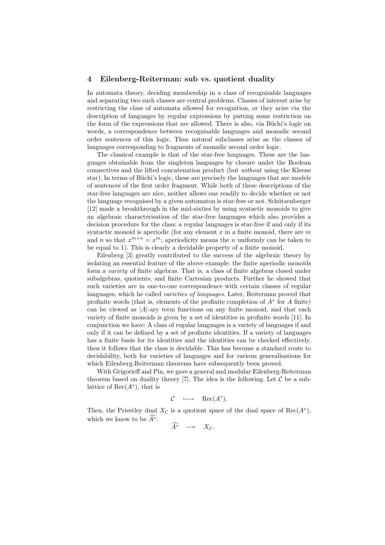#### 4 Eilenberg-Reiterman: sub vs. quotient duality

In automata theory, deciding membership in a class of recognisable languages and separating two such classes are central problems. Classes of interest arise by restricting the class of automata allowed for recognition, or they arise via the description of languages by regular expressions by putting some restriction on the form of the expressions that are allowed. There is also, via Büchi's logic on words, a correspondence between recognisable languages and monadic second order sentences of this logic. Thus natural subclasses arise as the classes of languages corresponding to fragments of monadic second order logic.

The classical example is that of the star-free languages. These are the languages obtainable from the singleton languages by closure under the Boolean connectives and the lifted concatenation product (but without using the Kleene star). In terms of Büchi's logic, these are precisely the languages that are models of sentences of the first order fragment. While both of these descriptions of the star-free languages are nice, neither allows one readily to decide whether or not the language recognised by a given automaton is star-free or not. Schützenberger [12] made a breakthrough in the mid-sixties by using syntactic monoids to give an algebraic characterisation of the star-free languages which also provides a decision procedure for the class: a regular languages is star-free if and only if its syntactic monoid is aperiodic (for any element  $x$  in a finite monoid, there are  $m$ and *n* so that  $x^{m+n} = x^m$ ; aperiodicity means the *n* uniformly can be taken to be equal to 1). This is clearly a decidable property of a finite monoid.

Eilenberg [3] greatly contributed to the success of the algebraic theory by isolating an essential feature of the above example: the finite aperiodic monoids form a variety of finite algebras. That is, a class of finite algebras closed under subalgebras, quotients, and finite Cartesian products. Further he showed that such varieties are in one-to-one correspondence with certain classes of regular languages, which he called *varieties of languages*. Later, Reiterman proved that profinite words (that is, elements of the profinite completion of  $A^*$  for A finite) can be viewed as  $|A|$ -ary term functions on any finite monoid, and that each variety of finite monoids is given by a set of identities in profinite words [11]. In conjunction we have: A class of regular languages is a variety of languages if and only if it can be defined by a set of profinite identities. If a variety of languages has a finite basis for its identities and the identities can be checked effectively, then it follows that the class is decidable. This has become a standard route to decidability, both for varieties of languages and for various generalisations for which Eilenberg-Reiterman theorems have subsequently been proved.

With Grigorieff and Pin, we gave a general and modular Eilenberg-Reiterman theorem based on duality theory [7]. The idea is the following. Let  $\mathcal C$  be a sublattice of  $\operatorname{Rec}(A^*)$ , that is

$$
\mathcal{C} \quad \hookrightarrow \quad \text{Rec}(A^*).
$$

Then, the Priestley dual  $X_{\mathcal{C}}$  is a quotient space of the dual space of Rec( $A^*$ ), which we know to be  $\widehat{A^*}$ :

$$
\widehat{A^*} \longrightarrow X_{\mathcal{C}}.
$$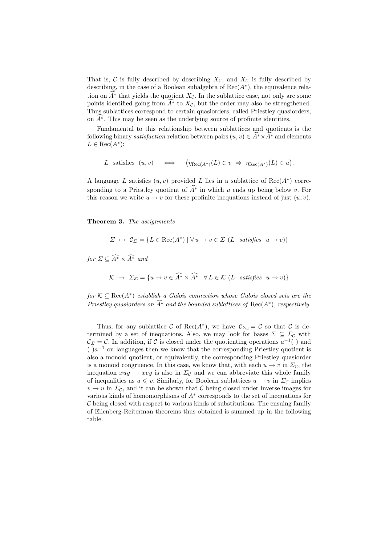That is, C is fully described by describing  $X_c$ , and  $X_c$  is fully described by describing, in the case of a Boolean subalgebra of  $\text{Rec}(A^*)$ , the equivalence relation on  $\widehat{A^*}$  that yields the quotient  $X_{\mathcal{C}}$ . In the sublattice case, not only are some points identified going from  $\widehat{A^*}$  to  $X_{\mathcal{C}}$ , but the order may also be strengthened. Thus sublattices correspond to certain quasiorders, called Priestley quasiorders, on  $A^*$ . This may be seen as the underlying source of profinite identities.

Fundamental to this relationship between sublattices and quotients is the following binary *satisfaction* relation between pairs  $(u, v) \in A^* \times A^*$  and elements  $L \in \text{Rec}(A^*)$ :

L satisfies 
$$
(u, v)
$$
  $\iff$   $(\eta_{\text{Rec}(A^*)}(L) \in v \Rightarrow \eta_{\text{Rec}(A^*)}(L) \in u).$ 

A language L satisfies  $(u, v)$  provided L lies in a sublattice of  $Rec(A^*)$  corresponding to a Priestley quotient of  $\widehat{A^*}$  in which u ends up being below v. For this reason we write  $u \to v$  for these profinite inequations instead of just  $(u, v)$ .

Theorem 3. The assignments

$$
\Sigma \ \mapsto \ \mathcal{C}_{\Sigma} = \{ L \in \text{Rec}(A^*) \mid \forall u \to v \in \Sigma \ (L \ \ satisfies \ \ u \to v) \}
$$

for  $\Sigma \subseteq \widehat{A^*} \times \widehat{A^*}$  and

$$
\mathcal{K} \ \mapsto \ \Sigma_{\mathcal{K}} = \{ u \to v \in \widehat{A^*} \times \widehat{A^*} \mid \forall \ L \in \mathcal{K} \ (L \ \ satisfies \ \ u \to v) \}
$$

for  $\mathcal{K} \subseteq \text{Rec}(A^*)$  establish a Galois connection whose Galois closed sets are the Priestley quasiorders on  $\widehat{A^*}$  and the bounded sublattices of  $\text{Rec}(A^*)$ , respectively.

Thus, for any sublattice C of Rec( $A^*$ ), we have  $\mathcal{C}_{\Sigma_c} = \mathcal{C}$  so that C is determined by a set of inequations. Also, we may look for bases  $\Sigma \subseteq \Sigma_{\mathcal{C}}$  with  $\mathcal{C}_{\Sigma} = \mathcal{C}$ . In addition, if  $\mathcal{C}$  is closed under the quotienting operations  $a^{-1}(\ )$  and  $\left( \right) a^{-1}$  on languages then we know that the corresponding Priestley quotient is also a monoid quotient, or equivalently, the corresponding Priestley quasiorder is a monoid congruence. In this case, we know that, with each  $u \to v$  in  $\Sigma_c$ , the inequation  $xuy \rightarrow xvy$  is also in  $\Sigma_c$  and we can abbreviate this whole family of inequalities as  $u \leq v$ . Similarly, for Boolean sublattices  $u \to v$  in  $\Sigma_c$  implies  $v \rightarrow u$  in  $\Sigma_c$ , and it can be shown that C being closed under inverse images for various kinds of homomorphisms of A<sup>∗</sup> corresponds to the set of inequations for  $\mathcal C$  being closed with respect to various kinds of substitutions. The ensuing family of Eilenberg-Reiterman theorems thus obtained is summed up in the following table.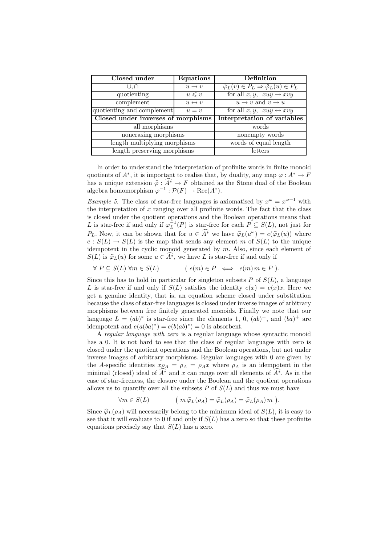| Closed under                       | <b>Equations</b>            | Definition                                                          |  |
|------------------------------------|-----------------------------|---------------------------------------------------------------------|--|
| U.N                                | $u \rightarrow v$           | $\hat{\varphi}_L(v) \in P_L \Rightarrow \hat{\varphi}_L(u) \in P_L$ |  |
| quotienting                        | $u \leqslant v$             | for all $x, y, xuy \rightarrow xvy$                                 |  |
| complement                         | $u \leftrightarrow v$       | $u \rightarrow v$ and $v \rightarrow u$                             |  |
| quotienting and complement         | $u = v$                     | for all $x, y, xuy \leftrightarrow xvy$                             |  |
| Closed under inverses of morphisms | Interpretation of variables |                                                                     |  |
| all morphisms                      | words                       |                                                                     |  |
| nonerasing morphisms               | nonempty words              |                                                                     |  |
| length multiplying morphisms       | words of equal length       |                                                                     |  |
| length preserving morphisms        | letters                     |                                                                     |  |

In order to understand the interpretation of profinite words in finite monoid quotients of  $A^*$ , it is important to realise that, by duality, any map  $\varphi: A^* \to F$ has a unique extension  $\hat{\varphi} : \widehat{A^*} \to F$  obtained as the Stone dual of the Boolean algebra homomorphism  $\varphi^{-1} : \mathcal{P}(F) \to \text{Rec}(A^*).$ 

*Example 5.* The class of star-free languages is axiomatised by  $x^{\omega} = x^{\omega+1}$  with the interpretation of  $x$  ranging over all profinite words. The fact that the class is closed under the quotient operations and the Boolean operations means that L is star-free if and only if  $\varphi_L^{-1}(P)$  is star-free for each  $P \subseteq S(L)$ , not just for P<sub>L</sub>. Now, it can be shown that for  $u \in \widehat{A^*}$  we have  $\widehat{\varphi}_L(u^{\omega}) = e(\widehat{\varphi}_L(u))$  where  $e: S(L) \to S(L)$  is the map that sends any element m of  $S(L)$  to the unique idempotent in the cyclic monoid generated by  $m$ . Also, since each element of  $S(L)$  is  $\widehat{\varphi}_L(u)$  for some  $u \in \widehat{A^*}$ , we have L is star-free if and only if

 $\forall P \subseteq S(L) \forall m \in S(L)$  (  $e(m) \in P \iff e(m) m \in P$  ).

Since this has to hold in particular for singleton subsets  $P$  of  $S(L)$ , a language L is star-free if and only if  $S(L)$  satisfies the identity  $e(x) = e(x)x$ . Here we get a genuine identity, that is, an equation scheme closed under substitution because the class of star-free languages is closed under inverse images of arbitrary morphisms between free finitely generated monoids. Finally we note that our language  $L = (ab)^*$  is star-free since the elements 1, 0,  $(ab)^+$ , and  $(ba)^+$  are idempotent and  $e(a(ba)^*) = e(b(ab)^*) = 0$  is absorbent.

A regular language with zero is a regular language whose syntactic monoid has a 0. It is not hard to see that the class of regular languages with zero is closed under the quotient operations and the Boolean operations, but not under inverse images of arbitrary morphisms. Regular languages with 0 are given by the A-specific identities  $x\rho_A = \rho_A = \rho_A x$  where  $\rho_A$  is an idempotent in the minimal (closed) ideal of  $\widehat{A^*}$  and x can range over all elements of  $\widehat{A^*}$ . As in the case of star-freeness, the closure under the Boolean and the quotient operations allows us to quantify over all the subsets  $P$  of  $S(L)$  and thus we must have

$$
\forall m \in S(L) \qquad (\quad m \ \widehat{\varphi}_L(\rho_A) = \widehat{\varphi}_L(\rho_A) = \widehat{\varphi}_L(\rho_A) \ m \ ).
$$

Since  $\hat{\varphi}_L(\rho_A)$  will necessarily belong to the minimum ideal of  $S(L)$ , it is easy to see that it will evaluate to 0 if and only if  $S(L)$  has a zero so that these profinite equations precisely say that  $S(L)$  has a zero.